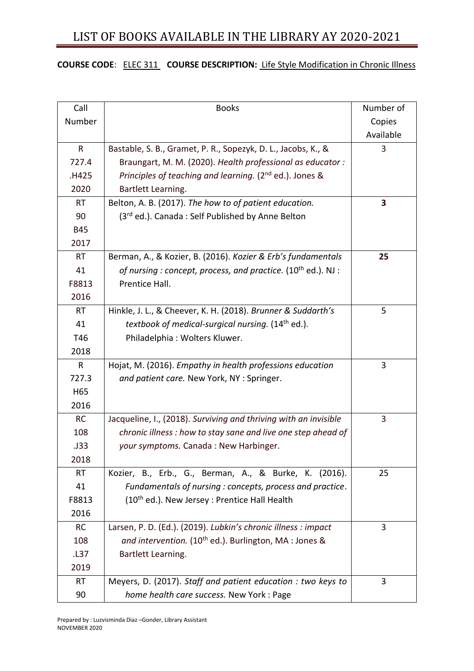### **COURSE CODE**: ELEC 311 **COURSE DESCRIPTION:** Life Style Modification in Chronic Illness

| Call       | <b>Books</b>                                                        | Number of |
|------------|---------------------------------------------------------------------|-----------|
| Number     |                                                                     | Copies    |
|            |                                                                     | Available |
| R          | Bastable, S. B., Gramet, P. R., Sopezyk, D. L., Jacobs, K., &       | 3         |
| 727.4      | Braungart, M. M. (2020). Health professional as educator:           |           |
| .H425      | Principles of teaching and learning. (2 <sup>nd</sup> ed.). Jones & |           |
| 2020       | Bartlett Learning.                                                  |           |
| <b>RT</b>  | Belton, A. B. (2017). The how to of patient education.              | 3         |
| 90         | (3rd ed.). Canada: Self Published by Anne Belton                    |           |
| <b>B45</b> |                                                                     |           |
| 2017       |                                                                     |           |
| <b>RT</b>  | Berman, A., & Kozier, B. (2016). Kozier & Erb's fundamentals        | 25        |
| 41         | of nursing : concept, process, and practice. $(10^{th}$ ed.). NJ :  |           |
| F8813      | Prentice Hall.                                                      |           |
| 2016       |                                                                     |           |
| <b>RT</b>  | Hinkle, J. L., & Cheever, K. H. (2018). Brunner & Suddarth's        | 5         |
| 41         | textbook of medical-surgical nursing. (14 <sup>th</sup> ed.).       |           |
| T46        | Philadelphia: Wolters Kluwer.                                       |           |
| 2018       |                                                                     |           |
| R          | Hojat, M. (2016). Empathy in health professions education           | 3         |
| 727.3      | and patient care. New York, NY : Springer.                          |           |
| H65        |                                                                     |           |
| 2016       |                                                                     |           |
| <b>RC</b>  | Jacqueline, I., (2018). Surviving and thriving with an invisible    | 3         |
| 108        | chronic illness : how to stay sane and live one step ahead of       |           |
| .J33       | your symptoms. Canada: New Harbinger.                               |           |
| 2018       |                                                                     |           |
| <b>RT</b>  | Kozier, B., Erb., G., Berman, A., & Burke, K. (2016).               | 25        |
| 41         | Fundamentals of nursing : concepts, process and practice.           |           |
| F8813      | (10 <sup>th</sup> ed.). New Jersey : Prentice Hall Health           |           |
| 2016       |                                                                     |           |
| <b>RC</b>  | Larsen, P. D. (Ed.). (2019). Lubkin's chronic illness : impact      | 3         |
| 108        | and intervention. (10 <sup>th</sup> ed.). Burlington, MA : Jones &  |           |
| .L37       | Bartlett Learning.                                                  |           |
| 2019       |                                                                     |           |
| <b>RT</b>  | Meyers, D. (2017). Staff and patient education : two keys to        | 3         |
| 90         | home health care success. New York: Page                            |           |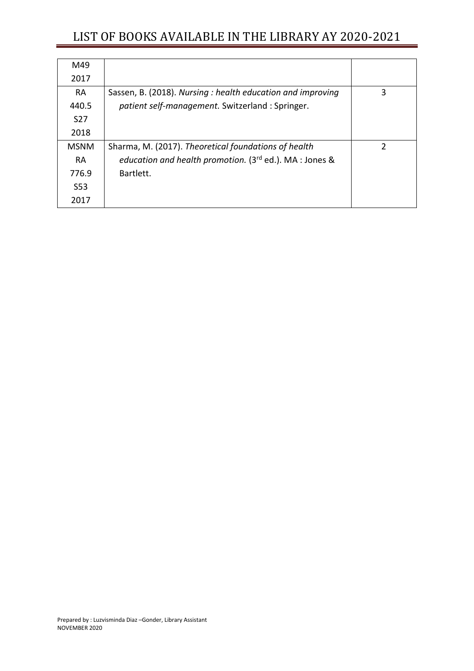| M49             |                                                            |   |
|-----------------|------------------------------------------------------------|---|
| 2017            |                                                            |   |
| <b>RA</b>       | Sassen, B. (2018). Nursing: health education and improving | 3 |
| 440.5           | patient self-management. Switzerland : Springer.           |   |
| S <sub>27</sub> |                                                            |   |
| 2018            |                                                            |   |
| <b>MSNM</b>     | Sharma, M. (2017). Theoretical foundations of health       | C |
| <b>RA</b>       | education and health promotion. (3rd ed.). MA : Jones &    |   |
| 776.9           | Bartlett.                                                  |   |
| S <sub>53</sub> |                                                            |   |
| 2017            |                                                            |   |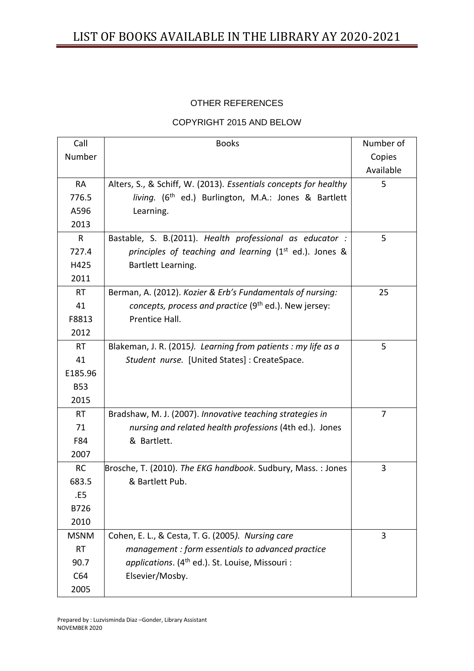### OTHER REFERENCES

#### COPYRIGHT 2015 AND BELOW

| Call        | <b>Books</b>                                                       | Number of |
|-------------|--------------------------------------------------------------------|-----------|
| Number      |                                                                    | Copies    |
|             |                                                                    | Available |
| <b>RA</b>   | Alters, S., & Schiff, W. (2013). Essentials concepts for healthy   | 5         |
| 776.5       | living. (6 <sup>th</sup> ed.) Burlington, M.A.: Jones & Bartlett   |           |
| A596        | Learning.                                                          |           |
| 2013        |                                                                    |           |
| R           | Bastable, S. B.(2011). Health professional as educator :           | 5         |
| 727.4       | principles of teaching and learning (1 <sup>st</sup> ed.). Jones & |           |
| H425        | Bartlett Learning.                                                 |           |
| 2011        |                                                                    |           |
| <b>RT</b>   | Berman, A. (2012). Kozier & Erb's Fundamentals of nursing:         | 25        |
| 41          | concepts, process and practice (9 <sup>th</sup> ed.). New jersey:  |           |
| F8813       | Prentice Hall.                                                     |           |
| 2012        |                                                                    |           |
| <b>RT</b>   | Blakeman, J. R. (2015). Learning from patients : my life as a      | 5         |
| 41          | Student nurse. [United States] : CreateSpace.                      |           |
| E185.96     |                                                                    |           |
| <b>B53</b>  |                                                                    |           |
| 2015        |                                                                    |           |
| <b>RT</b>   | Bradshaw, M. J. (2007). Innovative teaching strategies in          | 7         |
| 71          | nursing and related health professions (4th ed.). Jones            |           |
| F84         | & Bartlett.                                                        |           |
| 2007        |                                                                    |           |
| <b>RC</b>   | Brosche, T. (2010). The EKG handbook. Sudbury, Mass.: Jones        | 3         |
| 683.5       | & Bartlett Pub.                                                    |           |
| .E5         |                                                                    |           |
| B726        |                                                                    |           |
| 2010        |                                                                    |           |
| <b>MSNM</b> | Cohen, E. L., & Cesta, T. G. (2005). Nursing care                  | 3         |
| <b>RT</b>   | management : form essentials to advanced practice                  |           |
| 90.7        | applications. (4 <sup>th</sup> ed.). St. Louise, Missouri:         |           |
| C64         | Elsevier/Mosby.                                                    |           |
| 2005        |                                                                    |           |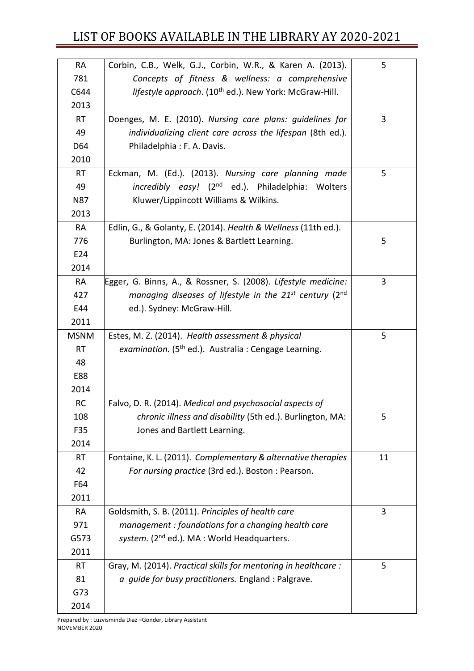| RA          | Corbin, C.B., Welk, G.J., Corbin, W.R., & Karen A. (2013).               | 5              |
|-------------|--------------------------------------------------------------------------|----------------|
| 781         | Concepts of fitness & wellness: a comprehensive                          |                |
| C644        | lifestyle approach. (10 <sup>th</sup> ed.). New York: McGraw-Hill.       |                |
| 2013        |                                                                          |                |
| <b>RT</b>   | Doenges, M. E. (2010). Nursing care plans: guidelines for                | 3              |
| 49          | individualizing client care across the lifespan (8th ed.).               |                |
| D64         | Philadelphia: F. A. Davis.                                               |                |
| 2010        |                                                                          |                |
| <b>RT</b>   | Eckman, M. (Ed.). (2013). Nursing care planning made                     | 5              |
| 49          | incredibly easy! (2 <sup>nd</sup> ed.). Philadelphia: Wolters            |                |
| <b>N87</b>  | Kluwer/Lippincott Williams & Wilkins.                                    |                |
| 2013        |                                                                          |                |
| <b>RA</b>   | Edlin, G., & Golanty, E. (2014). Health & Wellness (11th ed.).           |                |
| 776         | Burlington, MA: Jones & Bartlett Learning.                               | 5              |
| E24         |                                                                          |                |
| 2014        |                                                                          |                |
| <b>RA</b>   | Egger, G. Binns, A., & Rossner, S. (2008). Lifestyle medicine:           | 3              |
| 427         | managing diseases of lifestyle in the $21^{st}$ century (2 <sup>nd</sup> |                |
| E44         | ed.). Sydney: McGraw-Hill.                                               |                |
| 2011        |                                                                          |                |
| <b>MSNM</b> | Estes, M. Z. (2014). Health assessment & physical                        | 5              |
| <b>RT</b>   | examination. (5 <sup>th</sup> ed.). Australia : Cengage Learning.        |                |
| 48          |                                                                          |                |
| E88         |                                                                          |                |
| 2014        |                                                                          |                |
| <b>RC</b>   | Falvo, D. R. (2014). Medical and psychosocial aspects of                 |                |
| 108         | chronic illness and disability (5th ed.). Burlington, MA:                | 5              |
| F35         | Jones and Bartlett Learning.                                             |                |
| 2014        |                                                                          |                |
| <b>RT</b>   | Fontaine, K. L. (2011). Complementary & alternative therapies            | 11             |
| 42          | For nursing practice (3rd ed.). Boston: Pearson.                         |                |
| F64         |                                                                          |                |
| 2011        |                                                                          |                |
| <b>RA</b>   | Goldsmith, S. B. (2011). Principles of health care                       | $\overline{3}$ |
| 971         | management : foundations for a changing health care                      |                |
| G573        | system. (2 <sup>nd</sup> ed.). MA : World Headquarters.                  |                |
| 2011        |                                                                          |                |
| <b>RT</b>   | Gray, M. (2014). Practical skills for mentoring in healthcare :          | 5              |
| 81          | a guide for busy practitioners. England : Palgrave.                      |                |
| G73         |                                                                          |                |
| 2014        |                                                                          |                |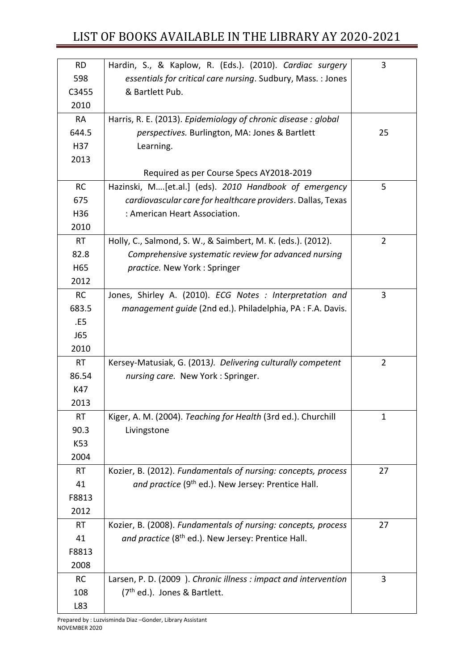| <b>RD</b> | Hardin, S., & Kaplow, R. (Eds.). (2010). Cardiac surgery        | 3              |
|-----------|-----------------------------------------------------------------|----------------|
| 598       | essentials for critical care nursing. Sudbury, Mass. : Jones    |                |
| C3455     | & Bartlett Pub.                                                 |                |
| 2010      |                                                                 |                |
| <b>RA</b> | Harris, R. E. (2013). Epidemiology of chronic disease : global  |                |
| 644.5     | perspectives. Burlington, MA: Jones & Bartlett                  | 25             |
| H37       | Learning.                                                       |                |
| 2013      |                                                                 |                |
|           | Required as per Course Specs AY2018-2019                        |                |
| <b>RC</b> | Hazinski, M[et.al.] (eds). 2010 Handbook of emergency           | 5              |
| 675       | cardiovascular care for healthcare providers. Dallas, Texas     |                |
| H36       | : American Heart Association.                                   |                |
| 2010      |                                                                 |                |
| <b>RT</b> | Holly, C., Salmond, S. W., & Saimbert, M. K. (eds.). (2012).    | $\overline{2}$ |
| 82.8      | Comprehensive systematic review for advanced nursing            |                |
| H65       | practice. New York: Springer                                    |                |
| 2012      |                                                                 |                |
| <b>RC</b> | Jones, Shirley A. (2010). ECG Notes : Interpretation and        | 3              |
| 683.5     | management guide (2nd ed.). Philadelphia, PA : F.A. Davis.      |                |
| .E5       |                                                                 |                |
| J65       |                                                                 |                |
| 2010      |                                                                 |                |
| <b>RT</b> | Kersey-Matusiak, G. (2013). Delivering culturally competent     | $\overline{2}$ |
| 86.54     | nursing care. New York: Springer.                               |                |
| K47       |                                                                 |                |
| 2013      |                                                                 |                |
| <b>RT</b> | Kiger, A. M. (2004). Teaching for Health (3rd ed.). Churchill   | 1              |
| 90.3      | Livingstone                                                     |                |
| K53       |                                                                 |                |
| 2004      |                                                                 |                |
| <b>RT</b> | Kozier, B. (2012). Fundamentals of nursing: concepts, process   | 27             |
| 41        | and practice (9 <sup>th</sup> ed.). New Jersey: Prentice Hall.  |                |
| F8813     |                                                                 |                |
| 2012      |                                                                 |                |
| <b>RT</b> | Kozier, B. (2008). Fundamentals of nursing: concepts, process   | 27             |
| 41        | and practice (8 <sup>th</sup> ed.). New Jersey: Prentice Hall.  |                |
| F8813     |                                                                 |                |
| 2008      |                                                                 |                |
| <b>RC</b> | Larsen, P. D. (2009). Chronic illness : impact and intervention | 3              |
| 108       | (7 <sup>th</sup> ed.). Jones & Bartlett.                        |                |
| L83       |                                                                 |                |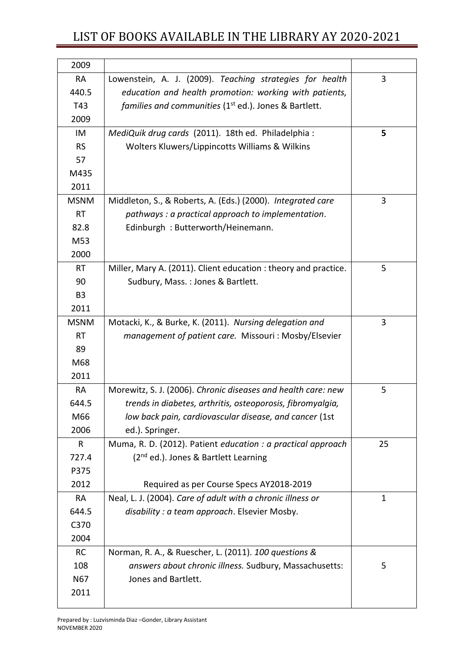| 2009           |                                                                   |                |
|----------------|-------------------------------------------------------------------|----------------|
| <b>RA</b>      | Lowenstein, A. J. (2009). Teaching strategies for health          | 3              |
| 440.5          | education and health promotion: working with patients,            |                |
| T43            | families and communities (1 <sup>st</sup> ed.). Jones & Bartlett. |                |
| 2009           |                                                                   |                |
| IM             | MediQuik drug cards (2011). 18th ed. Philadelphia:                | 5              |
| <b>RS</b>      | Wolters Kluwers/Lippincotts Williams & Wilkins                    |                |
| 57             |                                                                   |                |
| M435           |                                                                   |                |
| 2011           |                                                                   |                |
| <b>MSNM</b>    | Middleton, S., & Roberts, A. (Eds.) (2000). Integrated care       | $\overline{3}$ |
| <b>RT</b>      | pathways : a practical approach to implementation.                |                |
| 82.8           | Edinburgh: Butterworth/Heinemann.                                 |                |
| M53            |                                                                   |                |
| 2000           |                                                                   |                |
| <b>RT</b>      | Miller, Mary A. (2011). Client education: theory and practice.    | 5              |
| 90             | Sudbury, Mass.: Jones & Bartlett.                                 |                |
| B <sub>3</sub> |                                                                   |                |
| 2011           |                                                                   |                |
| <b>MSNM</b>    | Motacki, K., & Burke, K. (2011). Nursing delegation and           | 3              |
| <b>RT</b>      | management of patient care. Missouri: Mosby/Elsevier              |                |
| 89             |                                                                   |                |
| M68            |                                                                   |                |
| 2011           |                                                                   |                |
| <b>RA</b>      | Morewitz, S. J. (2006). Chronic diseases and health care: new     | 5              |
| 644.5          | trends in diabetes, arthritis, osteoporosis, fibromyalgia,        |                |
| M66            | low back pain, cardiovascular disease, and cancer (1st            |                |
| 2006           | ed.). Springer.                                                   |                |
| R              | Muma, R. D. (2012). Patient education : a practical approach      | 25             |
| 727.4          | (2 <sup>nd</sup> ed.). Jones & Bartlett Learning                  |                |
| P375           |                                                                   |                |
| 2012           | Required as per Course Specs AY2018-2019                          |                |
| <b>RA</b>      | Neal, L. J. (2004). Care of adult with a chronic illness or       | 1              |
| 644.5          | disability : a team approach. Elsevier Mosby.                     |                |
| C370           |                                                                   |                |
| 2004           |                                                                   |                |
| <b>RC</b>      | Norman, R. A., & Ruescher, L. (2011). 100 questions &             |                |
| 108            | answers about chronic illness. Sudbury, Massachusetts:            | 5              |
| N67            | Jones and Bartlett.                                               |                |
| 2011           |                                                                   |                |
|                |                                                                   |                |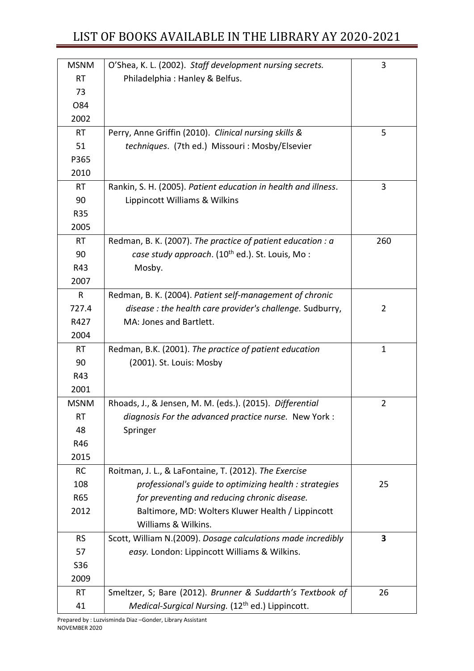| <b>MSNM</b>  | O'Shea, K. L. (2002). Staff development nursing secrets.       | 3              |
|--------------|----------------------------------------------------------------|----------------|
| <b>RT</b>    | Philadelphia: Hanley & Belfus.                                 |                |
| 73           |                                                                |                |
| O84          |                                                                |                |
| 2002         |                                                                |                |
| <b>RT</b>    | Perry, Anne Griffin (2010). Clinical nursing skills &          | 5              |
| 51           | techniques. (7th ed.) Missouri : Mosby/Elsevier                |                |
| P365         |                                                                |                |
| 2010         |                                                                |                |
| <b>RT</b>    | Rankin, S. H. (2005). Patient education in health and illness. | 3              |
| 90           | Lippincott Williams & Wilkins                                  |                |
| <b>R35</b>   |                                                                |                |
| 2005         |                                                                |                |
| <b>RT</b>    | Redman, B. K. (2007). The practice of patient education : a    | 260            |
| 90           | case study approach. (10 <sup>th</sup> ed.). St. Louis, Mo:    |                |
| R43          | Mosby.                                                         |                |
| 2007         |                                                                |                |
| $\mathsf{R}$ | Redman, B. K. (2004). Patient self-management of chronic       |                |
| 727.4        | disease : the health care provider's challenge. Sudburry,      | $\overline{2}$ |
| R427         | MA: Jones and Bartlett.                                        |                |
| 2004         |                                                                |                |
| <b>RT</b>    | Redman, B.K. (2001). The practice of patient education         | $\mathbf 1$    |
| 90           | (2001). St. Louis: Mosby                                       |                |
| R43          |                                                                |                |
| 2001         |                                                                |                |
| <b>MSNM</b>  | Rhoads, J., & Jensen, M. M. (eds.). (2015). Differential       | $\overline{2}$ |
| <b>RT</b>    | diagnosis For the advanced practice nurse. New York:           |                |
| 48           | Springer                                                       |                |
| R46          |                                                                |                |
| 2015         |                                                                |                |
| <b>RC</b>    | Roitman, J. L., & LaFontaine, T. (2012). The Exercise          |                |
| 108          | professional's quide to optimizing health : strategies         | 25             |
| R65          | for preventing and reducing chronic disease.                   |                |
| 2012         | Baltimore, MD: Wolters Kluwer Health / Lippincott              |                |
|              | Williams & Wilkins.                                            |                |
| <b>RS</b>    | Scott, William N.(2009). Dosage calculations made incredibly   | 3              |
| 57           | easy. London: Lippincott Williams & Wilkins.                   |                |
| S36          |                                                                |                |
| 2009         |                                                                |                |
| <b>RT</b>    | Smeltzer, S; Bare (2012). Brunner & Suddarth's Textbook of     | 26             |
| 41           | Medical-Surgical Nursing. (12 <sup>th</sup> ed.) Lippincott.   |                |